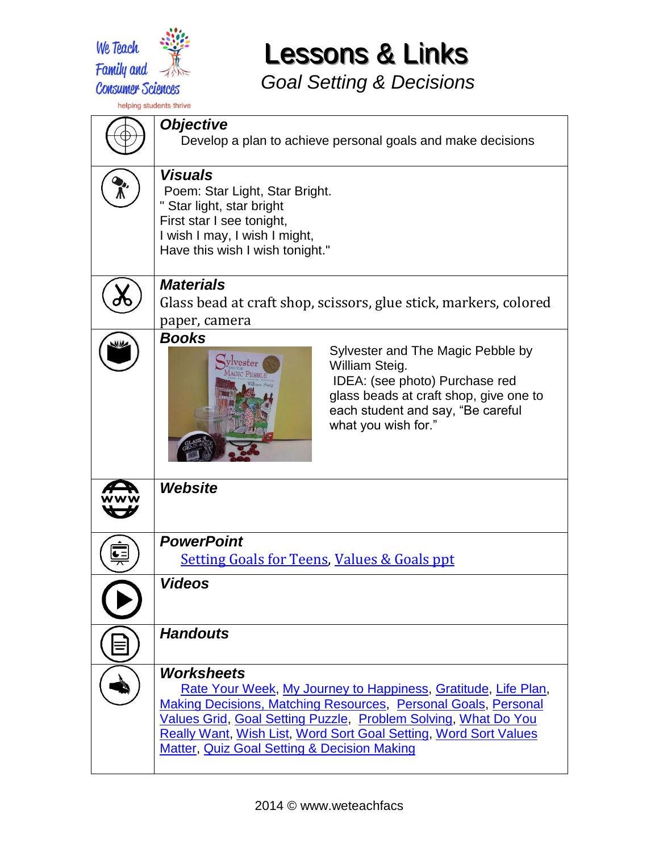

*Goal Setting & Decisions*

*Objective* Develop a plan to achieve personal goals and make decisions *Visuals* Poem: Star Light, Star Bright. " Star light, star bright First star I see tonight, I wish I may, I wish I might, Have this wish I wish tonight." *Materials* Glass bead at craft shop, scissors, glue stick, markers, colored paper, camera *Books* Sylvester and The Magic Pebble by Sylvester William Steig. IDEA: (see photo) Purchase red glass beads at craft shop, give one to each student and say, "Be careful what you wish for."*Website PowerPoint*  $\overline{\mathbf{C}}$  [Setting Goals for Teens,](https://drive.google.com/file/d/0B7E2D6ektrSHcmtmU1VXeVR3NE0/view?usp=sharing) [Values & Goals ppt](https://docs.google.com/presentation/d/1gkwQNfBzjxtNJ6_ohE3fr7QB6UOVLIfXoUIu-3LdUOs/edit?usp=sharing) *Videos Handouts Worksheets* [Rate Your Week,](https://drive.google.com/file/d/0B7E2D6ektrSHOE1NcklDVEdEczQ/view?usp=sharing) [My Journey to Happiness,](https://drive.google.com/file/d/0B7E2D6ektrSHbEN6LTlBc2tha28/view?usp=sharing) [Gratitude,](https://drive.google.com/file/d/0B7E2D6ektrSHampwaXpzMDJndnM/view?usp=sharing) [Life Plan,](https://drive.google.com/file/d/0B7E2D6ektrSHVnZZeExvMnhsV1k/view?usp=sharing) [Making Decisions, Matching Resources,](https://drive.google.com/file/d/0B7E2D6ektrSHSXJVODVJN2xfdWs/view?usp=sharing) [Personal Goals,](https://drive.google.com/file/d/0B7E2D6ektrSHblM0cWNtMXJiY2s/view?usp=sharing) [Personal](https://drive.google.com/file/d/0B7E2D6ektrSHS2J4V1FvRHRzNm8/view?usp=sharing)  [Values Grid,](https://drive.google.com/file/d/0B7E2D6ektrSHS2J4V1FvRHRzNm8/view?usp=sharing) [Goal Setting Puzzle,](https://drive.google.com/file/d/0B7E2D6ektrSHYVNjSWdwM3FTWEk/view?usp=sharing) [Problem Solving,](https://drive.google.com/file/d/0B7E2D6ektrSHR21PVHp2MDRqdUU/view?usp=sharing) [What Do You](https://drive.google.com/file/d/0B7E2D6ektrSHc2E0SVhnOE1Fc2c/view?usp=sharing)  [Really Want,](https://drive.google.com/file/d/0B7E2D6ektrSHc2E0SVhnOE1Fc2c/view?usp=sharing) [Wish List,](https://drive.google.com/file/d/0B7E2D6ektrSHbTlpUnk5T243ckU/view?usp=sharing) [Word Sort Goal Setting,](https://drive.google.com/file/d/0B7E2D6ektrSHdzRzSk9LUFBEalk/view?usp=sharing) [Word Sort Values](https://drive.google.com/file/d/0B7E2D6ektrSHMG9uWVR6N2c0ZFU/view?usp=sharing)  [Matter,](https://drive.google.com/file/d/0B7E2D6ektrSHMG9uWVR6N2c0ZFU/view?usp=sharing) [Quiz Goal Setting & Decision Making](https://docs.google.com/document/d/16xXF6V7nCNQOHCGK81_j3sD-A8RiN-N58_16oBjUrNQ/edit?usp=sharing)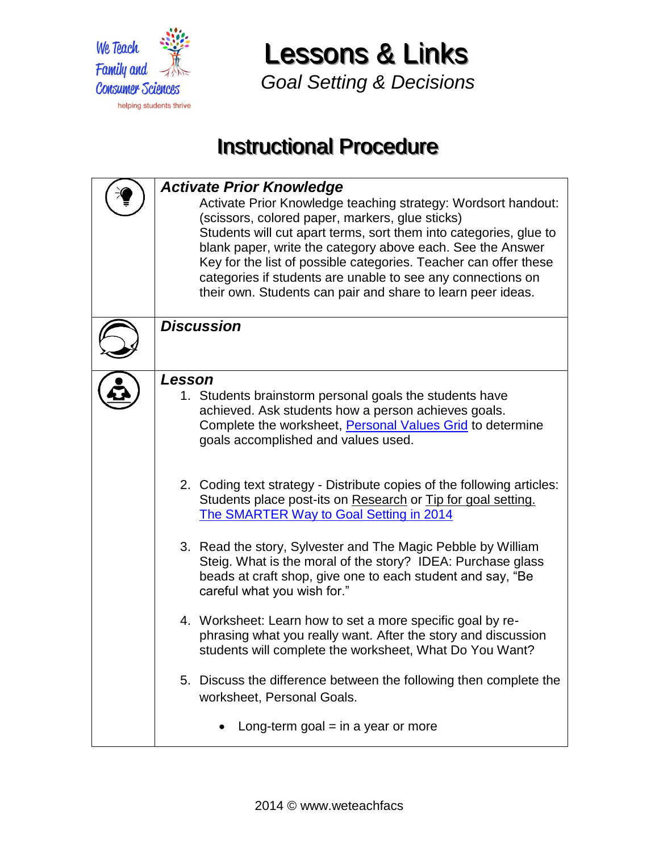

*Goal Setting & Decisions*

## **Instructional Procedure**

| <b>Activate Prior Knowledge</b><br>Activate Prior Knowledge teaching strategy: Wordsort handout:<br>(scissors, colored paper, markers, glue sticks)<br>Students will cut apart terms, sort them into categories, glue to<br>blank paper, write the category above each. See the Answer<br>Key for the list of possible categories. Teacher can offer these<br>categories if students are unable to see any connections on<br>their own. Students can pair and share to learn peer ideas. |
|------------------------------------------------------------------------------------------------------------------------------------------------------------------------------------------------------------------------------------------------------------------------------------------------------------------------------------------------------------------------------------------------------------------------------------------------------------------------------------------|
| <b>Discussion</b>                                                                                                                                                                                                                                                                                                                                                                                                                                                                        |
| Lesson<br>1. Students brainstorm personal goals the students have<br>achieved. Ask students how a person achieves goals.<br>Complete the worksheet, Personal Values Grid to determine<br>goals accomplished and values used.                                                                                                                                                                                                                                                             |
| 2. Coding text strategy - Distribute copies of the following articles:<br>Students place post-its on Research or Tip for goal setting.<br>The SMARTER Way to Goal Setting in 2014                                                                                                                                                                                                                                                                                                        |
| 3. Read the story, Sylvester and The Magic Pebble by William<br>Steig. What is the moral of the story? IDEA: Purchase glass<br>beads at craft shop, give one to each student and say, "Be<br>careful what you wish for."                                                                                                                                                                                                                                                                 |
| 4. Worksheet: Learn how to set a more specific goal by re-<br>phrasing what you really want. After the story and discussion<br>students will complete the worksheet, What Do You Want?                                                                                                                                                                                                                                                                                                   |
| 5. Discuss the difference between the following then complete the<br>worksheet, Personal Goals.                                                                                                                                                                                                                                                                                                                                                                                          |
| Long-term goal $=$ in a year or more                                                                                                                                                                                                                                                                                                                                                                                                                                                     |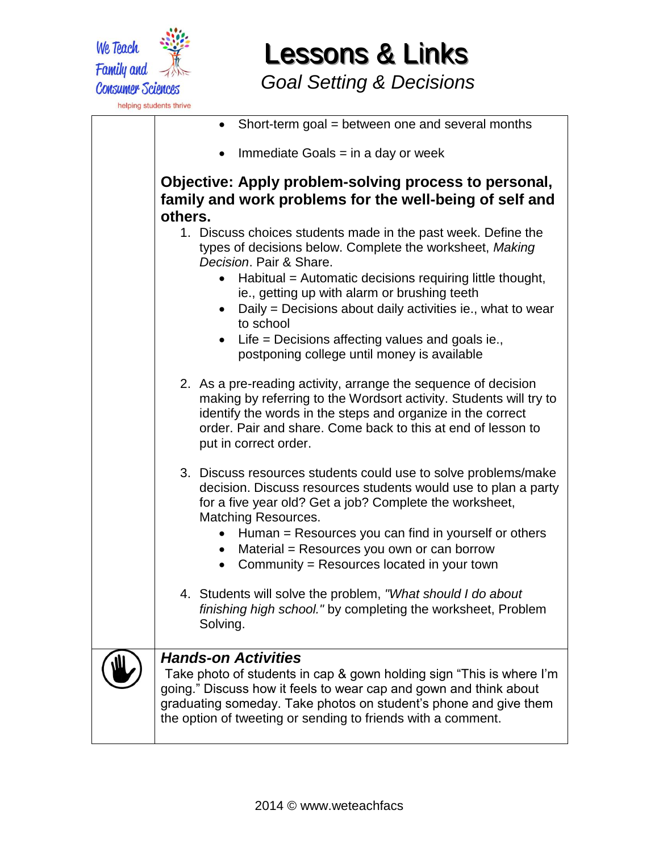

*Goal Setting & Decisions*

| Short-term goal = between one and several months                                                                                                                                                                                                                                                                                                                                                                                               |
|------------------------------------------------------------------------------------------------------------------------------------------------------------------------------------------------------------------------------------------------------------------------------------------------------------------------------------------------------------------------------------------------------------------------------------------------|
| Immediate Goals $=$ in a day or week                                                                                                                                                                                                                                                                                                                                                                                                           |
| Objective: Apply problem-solving process to personal,<br>family and work problems for the well-being of self and<br>others.                                                                                                                                                                                                                                                                                                                    |
| 1. Discuss choices students made in the past week. Define the<br>types of decisions below. Complete the worksheet, Making<br>Decision. Pair & Share.<br>Habitual = Automatic decisions requiring little thought,<br>ie., getting up with alarm or brushing teeth<br>Daily = Decisions about daily activities ie., what to wear<br>to school<br>Life = Decisions affecting values and goals ie.,<br>postponing college until money is available |
| 2. As a pre-reading activity, arrange the sequence of decision<br>making by referring to the Wordsort activity. Students will try to<br>identify the words in the steps and organize in the correct<br>order. Pair and share. Come back to this at end of lesson to<br>put in correct order.                                                                                                                                                   |
| 3. Discuss resources students could use to solve problems/make<br>decision. Discuss resources students would use to plan a party<br>for a five year old? Get a job? Complete the worksheet,<br>Matching Resources.<br>Human = Resources you can find in yourself or others<br>Material = Resources you own or can borrow<br>Community = Resources located in your town                                                                         |
| 4. Students will solve the problem, "What should I do about<br>finishing high school." by completing the worksheet, Problem<br>Solving.                                                                                                                                                                                                                                                                                                        |
| <b>Hands-on Activities</b><br>Take photo of students in cap & gown holding sign "This is where I'm<br>going." Discuss how it feels to wear cap and gown and think about<br>graduating someday. Take photos on student's phone and give them<br>the option of tweeting or sending to friends with a comment.                                                                                                                                    |